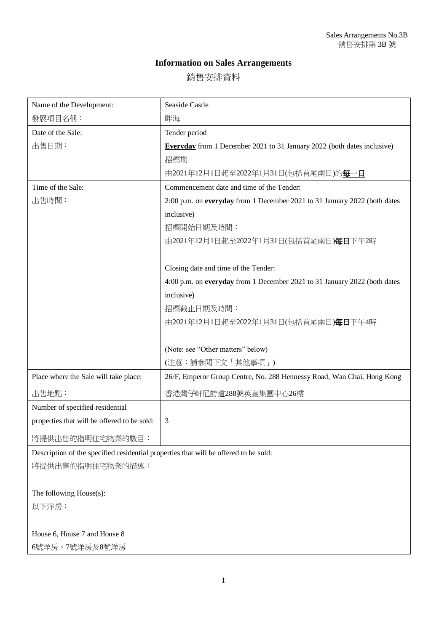## **Information on Sales Arrangements**

銷售安排資料

| Name of the Development:                                                             | Seaside Castle                                                                 |
|--------------------------------------------------------------------------------------|--------------------------------------------------------------------------------|
| 發展項目名稱:                                                                              | 畔海                                                                             |
| Date of the Sale:                                                                    | Tender period                                                                  |
| 出售日期:                                                                                | <b>Everyday</b> from 1 December 2021 to 31 January 2022 (both dates inclusive) |
|                                                                                      | 招標期                                                                            |
|                                                                                      | 由2021年12月1日起至2022年1月31日(包括首尾兩日)的每一日                                            |
| Time of the Sale:                                                                    | Commencement date and time of the Tender:                                      |
| 出售時間:                                                                                | 2:00 p.m. on everyday from 1 December 2021 to 31 January 2022 (both dates      |
|                                                                                      | inclusive)                                                                     |
|                                                                                      | 招標開始日期及時間:                                                                     |
|                                                                                      | 由2021年12月1日起至2022年1月31日(包括首尾兩日)每日下午2時                                          |
|                                                                                      |                                                                                |
|                                                                                      | Closing date and time of the Tender:                                           |
|                                                                                      | 4:00 p.m. on everyday from 1 December 2021 to 31 January 2022 (both dates      |
|                                                                                      | inclusive)                                                                     |
|                                                                                      | 招標截止日期及時間:                                                                     |
|                                                                                      | 由2021年12月1日起至2022年1月31日(包括首尾兩日)每日下午4時                                          |
|                                                                                      |                                                                                |
|                                                                                      | (Note: see "Other matters" below)                                              |
|                                                                                      | (注意:請參閲下文「其他事項」)                                                               |
| Place where the Sale will take place:                                                | 26/F, Emperor Group Centre, No. 288 Hennessy Road, Wan Chai, Hong Kong         |
| 出售地點:                                                                                | 香港灣仔軒尼詩道288號英皇集團中心26樓                                                          |
| Number of specified residential                                                      |                                                                                |
| properties that will be offered to be sold:                                          | 3                                                                              |
| 將提供出售的指明住宅物業的數目:                                                                     |                                                                                |
| Description of the specified residential properties that will be offered to be sold: |                                                                                |
| 將提供出售的指明住宅物業的描述:                                                                     |                                                                                |
|                                                                                      |                                                                                |
| The following House(s):                                                              |                                                                                |
| 以下洋房:                                                                                |                                                                                |
|                                                                                      |                                                                                |
| House 6, House 7 and House 8                                                         |                                                                                |

6號洋房、7號洋房及8號洋房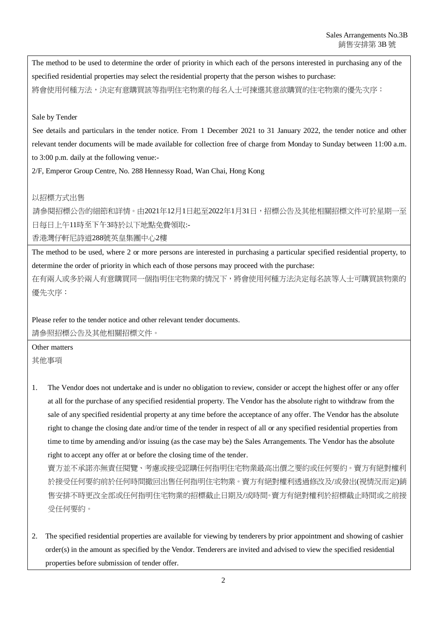The method to be used to determine the order of priority in which each of the persons interested in purchasing any of the specified residential properties may select the residential property that the person wishes to purchase: 將會使用何種方法,決定有意購買該等指明住宅物業的每名人士可揀選其意欲購買的住宅物業的優先次序:

## Sale by Tender

See details and particulars in the tender notice. From 1 December 2021 to 31 January 2022, the tender notice and other relevant tender documents will be made available for collection free of charge from Monday to Sunday between 11:00 a.m. to 3:00 p.m. daily at the following venue:-

2/F, Emperor Group Centre, No. 288 Hennessy Road, Wan Chai, Hong Kong

## 以招標方式出售

請參閱招標公告的細節和詳情。由2021年12月1日起至2022年1月31日,招標公告及其他相關招標文件可於星期一至 日每日上午11時至下午3時於以下地點免費領取:-

香港灣仔軒尼詩道288號英皇集團中心2樓

The method to be used, where 2 or more persons are interested in purchasing a particular specified residential property, to determine the order of priority in which each of those persons may proceed with the purchase:

在有兩人或多於兩人有意購買同一個指明住宅物業的情況下,將會使用何種方法決定每名該等人士可購買該物業的 優先次序:

Please refer to the tender notice and other relevant tender documents. 請參照招標公告及其他相關招標文件。

Other matters 其他事項

1. The Vendor does not undertake and is under no obligation to review, consider or accept the highest offer or any offer at all for the purchase of any specified residential property. The Vendor has the absolute right to withdraw from the sale of any specified residential property at any time before the acceptance of any offer. The Vendor has the absolute right to change the closing date and/or time of the tender in respect of all or any specified residential properties from time to time by amending and/or issuing (as the case may be) the Sales Arrangements. The Vendor has the absolute right to accept any offer at or before the closing time of the tender.

賣方並不承諾亦無責任閱覽、考慮或接受認購任何指明住宅物業最高出價之要約或任何要約。賣方有絕對權利 於接受任何要約前於任何時間撤回出售任何指明住宅物業。賣方有絕對權利透過修改及/或發出(視情況而定)銷 售安排不時更改全部或任何指明住宅物業的招標截止日期及/或時間。賣方有絕對權利於招標截止時間或之前接 受任何要約。

2. The specified residential properties are available for viewing by tenderers by prior appointment and showing of cashier order(s) in the amount as specified by the Vendor. Tenderers are invited and advised to view the specified residential properties before submission of tender offer.